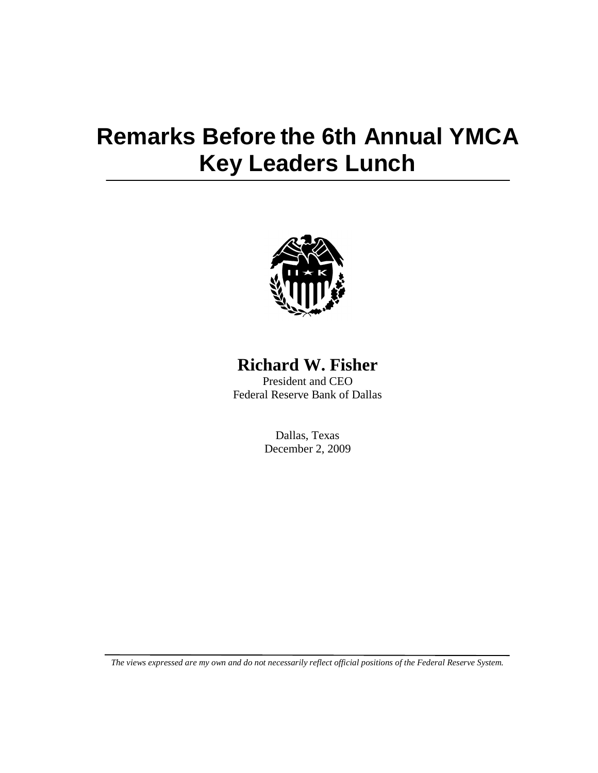## **Remarks Before the 6th Annual YMCA Key Leaders Lunch**



## **Richard W. Fisher**

President and CEO Federal Reserve Bank of Dallas

> Dallas, Texas December 2, 2009

*The views expressed are my own and do not necessarily reflect official positions of the Federal Reserve System.*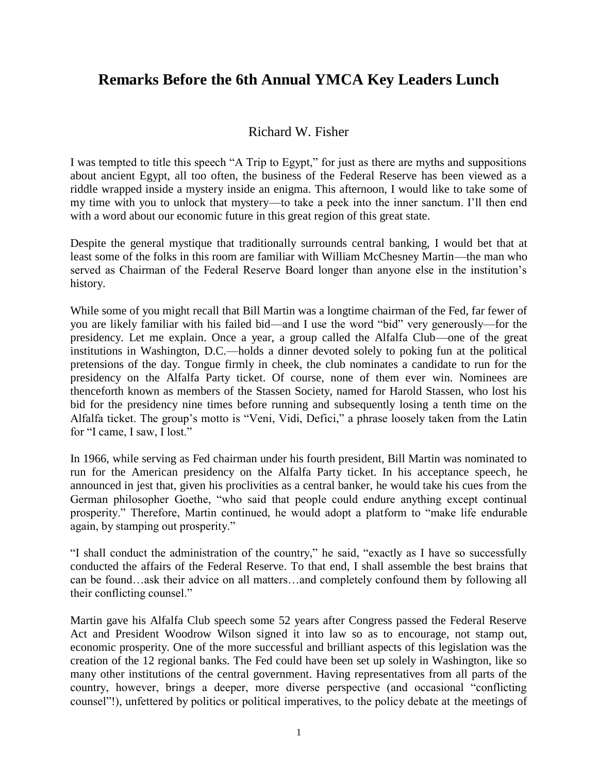## **Remarks Before the 6th Annual YMCA Key Leaders Lunch**

## Richard W. Fisher

I was tempted to title this speech "A Trip to Egypt," for just as there are myths and suppositions about ancient Egypt, all too often, the business of the Federal Reserve has been viewed as a riddle wrapped inside a mystery inside an enigma. This afternoon, I would like to take some of my time with you to unlock that mystery—to take a peek into the inner sanctum. I'll then end with a word about our economic future in this great region of this great state.

Despite the general mystique that traditionally surrounds central banking, I would bet that at least some of the folks in this room are familiar with William McChesney Martin—the man who served as Chairman of the Federal Reserve Board longer than anyone else in the institution's history.

While some of you might recall that Bill Martin was a longtime chairman of the Fed, far fewer of you are likely familiar with his failed bid—and I use the word "bid" very generously—for the presidency. Let me explain. Once a year, a group called the Alfalfa Club—one of the great institutions in Washington, D.C.—holds a dinner devoted solely to poking fun at the political pretensions of the day. Tongue firmly in cheek, the club nominates a candidate to run for the presidency on the Alfalfa Party ticket. Of course, none of them ever win. Nominees are thenceforth known as members of the Stassen Society, named for Harold Stassen, who lost his bid for the presidency nine times before running and subsequently losing a tenth time on the Alfalfa ticket. The group's motto is "Veni, Vidi, Defici," a phrase loosely taken from the Latin for "I came, I saw, I lost."

In 1966, while serving as Fed chairman under his fourth president, Bill Martin was nominated to run for the American presidency on the Alfalfa Party ticket. In his acceptance speech, he announced in jest that, given his proclivities as a central banker, he would take his cues from the German philosopher Goethe, "who said that people could endure anything except continual prosperity." Therefore, Martin continued, he would adopt a platform to "make life endurable again, by stamping out prosperity."

"I shall conduct the administration of the country," he said, "exactly as I have so successfully conducted the affairs of the Federal Reserve. To that end, I shall assemble the best brains that can be found…ask their advice on all matters…and completely confound them by following all their conflicting counsel."

Martin gave his Alfalfa Club speech some 52 years after Congress passed the Federal Reserve Act and President Woodrow Wilson signed it into law so as to encourage, not stamp out, economic prosperity. One of the more successful and brilliant aspects of this legislation was the creation of the 12 regional banks. The Fed could have been set up solely in Washington, like so many other institutions of the central government. Having representatives from all parts of the country, however, brings a deeper, more diverse perspective (and occasional "conflicting counsel‖!), unfettered by politics or political imperatives, to the policy debate at the meetings of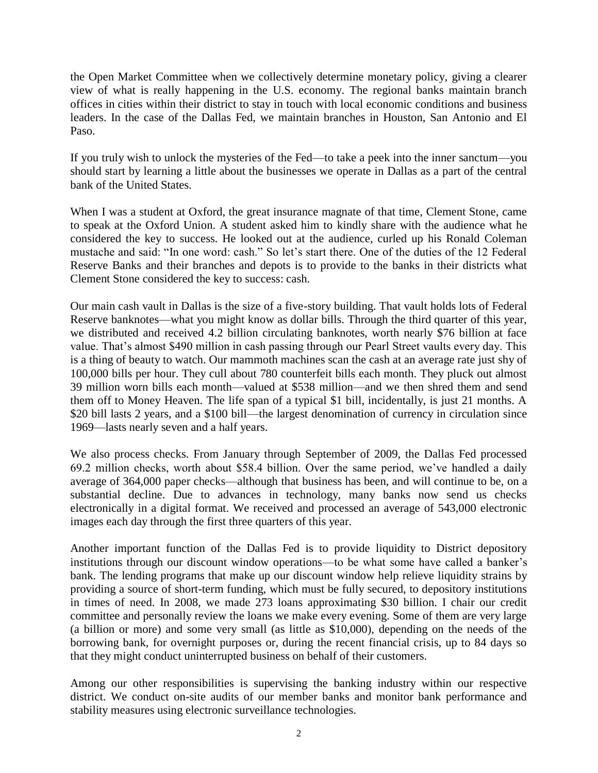the Open Market Committee when we collectively determine monetary policy, giving a clearer view of what is really happening in the U.S. economy. The regional banks maintain branch offices in cities within their district to stay in touch with local economic conditions and business leaders. In the case of the Dallas Fed, we maintain branches in Houston, San Antonio and El Paso.

If you truly wish to unlock the mysteries of the Fed—to take a peek into the inner sanctum—you should start by learning a little about the businesses we operate in Dallas as a part of the central bank of the United States.

When I was a student at Oxford, the great insurance magnate of that time, Clement Stone, came to speak at the Oxford Union. A student asked him to kindly share with the audience what he considered the key to success. He looked out at the audience, curled up his Ronald Coleman mustache and said: "In one word: cash." So let's start there. One of the duties of the 12 Federal Reserve Banks and their branches and depots is to provide to the banks in their districts what Clement Stone considered the key to success: cash.

Our main cash vault in Dallas is the size of a five-story building. That vault holds lots of Federal Reserve banknotes—what you might know as dollar bills. Through the third quarter of this year, we distributed and received 4.2 billion circulating banknotes, worth nearly \$76 billion at face value. That's almost \$490 million in cash passing through our Pearl Street vaults every day. This is a thing of beauty to watch. Our mammoth machines scan the cash at an average rate just shy of 100,000 bills per hour. They cull about 780 counterfeit bills each month. They pluck out almost 39 million worn bills each month—valued at \$538 million—and we then shred them and send them off to Money Heaven. The life span of a typical \$1 bill, incidentally, is just 21 months. A \$20 bill lasts 2 years, and a \$100 bill—the largest denomination of currency in circulation since 1969—lasts nearly seven and a half years.

We also process checks. From January through September of 2009, the Dallas Fed processed 69.2 million checks, worth about \$58.4 billion. Over the same period, we've handled a daily average of 364,000 paper checks—although that business has been, and will continue to be, on a substantial decline. Due to advances in technology, many banks now send us checks electronically in a digital format. We received and processed an average of 543,000 electronic images each day through the first three quarters of this year.

Another important function of the Dallas Fed is to provide liquidity to District depository institutions through our discount window operations—to be what some have called a banker's bank. The lending programs that make up our discount window help relieve liquidity strains by providing a source of short-term funding, which must be fully secured, to depository institutions in times of need. In 2008, we made 273 loans approximating \$30 billion. I chair our credit committee and personally review the loans we make every evening. Some of them are very large (a billion or more) and some very small (as little as \$10,000), depending on the needs of the borrowing bank, for overnight purposes or, during the recent financial crisis, up to 84 days so that they might conduct uninterrupted business on behalf of their customers.

Among our other responsibilities is supervising the banking industry within our respective district. We conduct on-site audits of our member banks and monitor bank performance and stability measures using electronic surveillance technologies.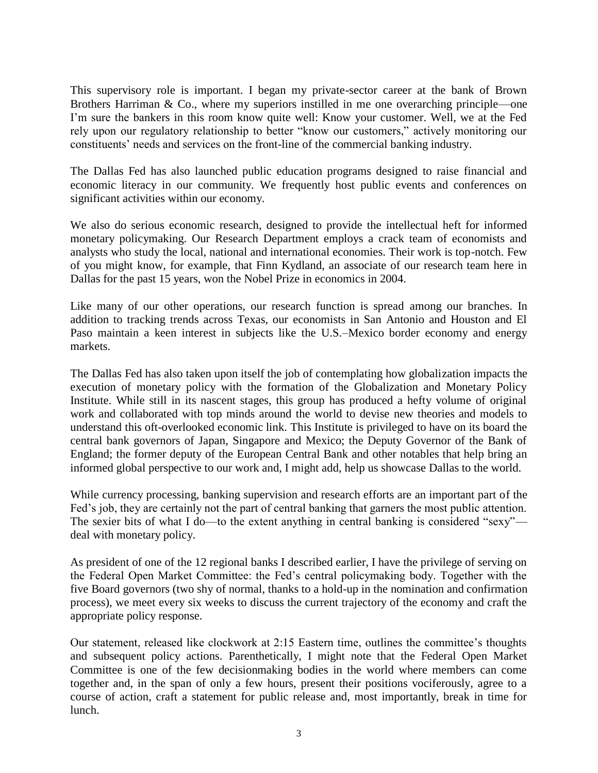This supervisory role is important. I began my private-sector career at the bank of Brown Brothers Harriman & Co., where my superiors instilled in me one overarching principle—one I'm sure the bankers in this room know quite well: Know your customer. Well, we at the Fed rely upon our regulatory relationship to better "know our customers," actively monitoring our constituents' needs and services on the front-line of the commercial banking industry.

The Dallas Fed has also launched public education programs designed to raise financial and economic literacy in our community. We frequently host public events and conferences on significant activities within our economy.

We also do serious economic research, designed to provide the intellectual heft for informed monetary policymaking. Our Research Department employs a crack team of economists and analysts who study the local, national and international economies. Their work is top-notch. Few of you might know, for example, that Finn Kydland, an associate of our research team here in Dallas for the past 15 years, won the Nobel Prize in economics in 2004.

Like many of our other operations, our research function is spread among our branches. In addition to tracking trends across Texas, our economists in San Antonio and Houston and El Paso maintain a keen interest in subjects like the U.S.–Mexico border economy and energy markets.

The Dallas Fed has also taken upon itself the job of contemplating how globalization impacts the execution of monetary policy with the formation of the Globalization and Monetary Policy Institute. While still in its nascent stages, this group has produced a hefty volume of original work and collaborated with top minds around the world to devise new theories and models to understand this oft-overlooked economic link. This Institute is privileged to have on its board the central bank governors of Japan, Singapore and Mexico; the Deputy Governor of the Bank of England; the former deputy of the European Central Bank and other notables that help bring an informed global perspective to our work and, I might add, help us showcase Dallas to the world.

While currency processing, banking supervision and research efforts are an important part of the Fed's job, they are certainly not the part of central banking that garners the most public attention. The sexier bits of what I do—to the extent anything in central banking is considered "sexy" deal with monetary policy.

As president of one of the 12 regional banks I described earlier, I have the privilege of serving on the Federal Open Market Committee: the Fed's central policymaking body. Together with the five Board governors (two shy of normal, thanks to a hold-up in the nomination and confirmation process), we meet every six weeks to discuss the current trajectory of the economy and craft the appropriate policy response.

Our statement, released like clockwork at 2:15 Eastern time, outlines the committee's thoughts and subsequent policy actions. Parenthetically, I might note that the Federal Open Market Committee is one of the few decisionmaking bodies in the world where members can come together and, in the span of only a few hours, present their positions vociferously, agree to a course of action, craft a statement for public release and, most importantly, break in time for lunch.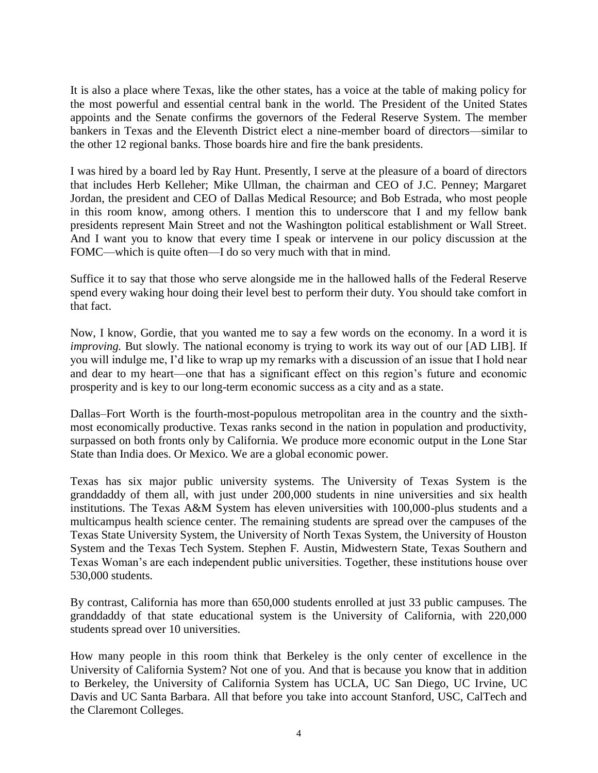It is also a place where Texas, like the other states, has a voice at the table of making policy for the most powerful and essential central bank in the world. The President of the United States appoints and the Senate confirms the governors of the Federal Reserve System. The member bankers in Texas and the Eleventh District elect a nine-member board of directors—similar to the other 12 regional banks. Those boards hire and fire the bank presidents.

I was hired by a board led by Ray Hunt. Presently, I serve at the pleasure of a board of directors that includes Herb Kelleher; Mike Ullman, the chairman and CEO of J.C. Penney; Margaret Jordan, the president and CEO of Dallas Medical Resource; and Bob Estrada, who most people in this room know, among others. I mention this to underscore that I and my fellow bank presidents represent Main Street and not the Washington political establishment or Wall Street. And I want you to know that every time I speak or intervene in our policy discussion at the FOMC—which is quite often—I do so very much with that in mind.

Suffice it to say that those who serve alongside me in the hallowed halls of the Federal Reserve spend every waking hour doing their level best to perform their duty. You should take comfort in that fact.

Now, I know, Gordie, that you wanted me to say a few words on the economy. In a word it is *improving.* But slowly. The national economy is trying to work its way out of our [AD LIB]. If you will indulge me, I'd like to wrap up my remarks with a discussion of an issue that I hold near and dear to my heart—one that has a significant effect on this region's future and economic prosperity and is key to our long-term economic success as a city and as a state.

Dallas–Fort Worth is the fourth-most-populous metropolitan area in the country and the sixthmost economically productive. Texas ranks second in the nation in population and productivity, surpassed on both fronts only by California. We produce more economic output in the Lone Star State than India does. Or Mexico. We are a global economic power.

Texas has six major public university systems. The University of Texas System is the granddaddy of them all, with just under 200,000 students in nine universities and six health institutions. The Texas A&M System has eleven universities with 100,000-plus students and a multicampus health science center. The remaining students are spread over the campuses of the Texas State University System, the University of North Texas System, the University of Houston System and the Texas Tech System. Stephen F. Austin, Midwestern State, Texas Southern and Texas Woman's are each independent public universities. Together, these institutions house over 530,000 students.

By contrast, California has more than 650,000 students enrolled at just 33 public campuses. The granddaddy of that state educational system is the University of California, with 220,000 students spread over 10 universities.

How many people in this room think that Berkeley is the only center of excellence in the University of California System? Not one of you. And that is because you know that in addition to Berkeley, the University of California System has UCLA, UC San Diego, UC Irvine, UC Davis and UC Santa Barbara. All that before you take into account Stanford, USC, CalTech and the Claremont Colleges.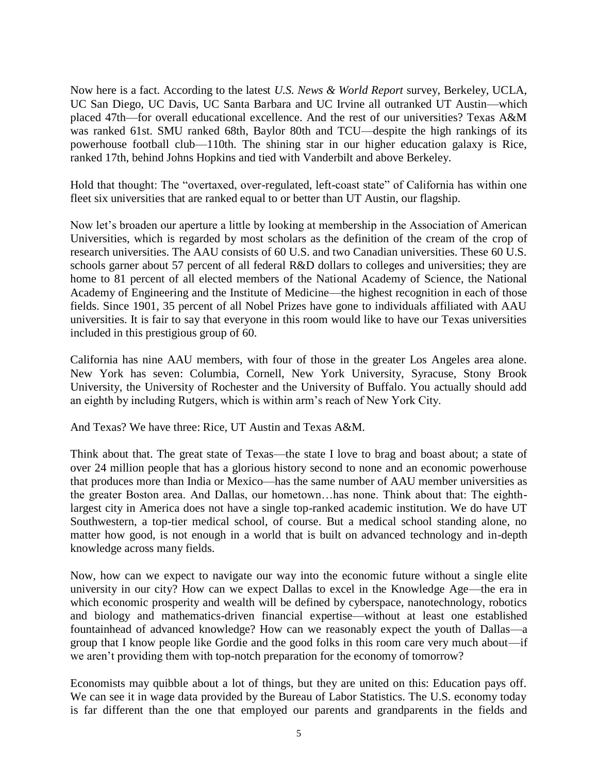Now here is a fact. According to the latest *U.S. News & World Report* survey, Berkeley, UCLA, UC San Diego, UC Davis, UC Santa Barbara and UC Irvine all outranked UT Austin—which placed 47th—for overall educational excellence. And the rest of our universities? Texas A&M was ranked 61st. SMU ranked 68th, Baylor 80th and TCU—despite the high rankings of its powerhouse football club—110th. The shining star in our higher education galaxy is Rice, ranked 17th, behind Johns Hopkins and tied with Vanderbilt and above Berkeley.

Hold that thought: The "overtaxed, over-regulated, left-coast state" of California has within one fleet six universities that are ranked equal to or better than UT Austin, our flagship.

Now let's broaden our aperture a little by looking at membership in the Association of American Universities, which is regarded by most scholars as the definition of the cream of the crop of research universities. The AAU consists of 60 U.S. and two Canadian universities. These 60 U.S. schools garner about 57 percent of all federal R&D dollars to colleges and universities; they are home to 81 percent of all elected members of the National Academy of Science, the National Academy of Engineering and the Institute of Medicine—the highest recognition in each of those fields. Since 1901, 35 percent of all Nobel Prizes have gone to individuals affiliated with AAU universities. It is fair to say that everyone in this room would like to have our Texas universities included in this prestigious group of 60.

California has nine AAU members, with four of those in the greater Los Angeles area alone. New York has seven: Columbia, Cornell, New York University, Syracuse, Stony Brook University, the University of Rochester and the University of Buffalo. You actually should add an eighth by including Rutgers, which is within arm's reach of New York City.

And Texas? We have three: Rice, UT Austin and Texas A&M.

Think about that. The great state of Texas—the state I love to brag and boast about; a state of over 24 million people that has a glorious history second to none and an economic powerhouse that produces more than India or Mexico—has the same number of AAU member universities as the greater Boston area. And Dallas, our hometown…has none. Think about that: The eighthlargest city in America does not have a single top-ranked academic institution. We do have UT Southwestern, a top-tier medical school, of course. But a medical school standing alone, no matter how good, is not enough in a world that is built on advanced technology and in-depth knowledge across many fields.

Now, how can we expect to navigate our way into the economic future without a single elite university in our city? How can we expect Dallas to excel in the Knowledge Age—the era in which economic prosperity and wealth will be defined by cyberspace, nanotechnology, robotics and biology and mathematics-driven financial expertise—without at least one established fountainhead of advanced knowledge? How can we reasonably expect the youth of Dallas—a group that I know people like Gordie and the good folks in this room care very much about—if we aren't providing them with top-notch preparation for the economy of tomorrow?

Economists may quibble about a lot of things, but they are united on this: Education pays off. We can see it in wage data provided by the Bureau of Labor Statistics. The U.S. economy today is far different than the one that employed our parents and grandparents in the fields and